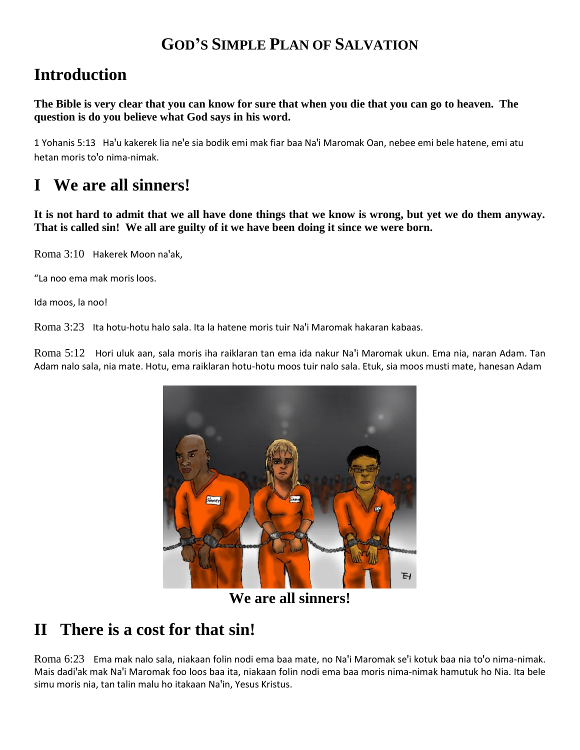### **GOD'S SIMPLE PLAN OF SALVATION**

## **Introduction**

**The Bible is very clear that you can know for sure that when you die that you can go to heaven. The question is do you believe what God says in his word.**

1 Yohanis 5:13 Ha'u kakerek lia ne'e sia bodik emi mak fiar baa Na'i Maromak Oan, nebee emi bele hatene, emi atu hetan moris to'o nima-nimak.

## **I We are all sinners!**

**It is not hard to admit that we all have done things that we know is wrong, but yet we do them anyway. That is called sin! We all are guilty of it we have been doing it since we were born.**

Roma 3:10 Hakerek Moon na'ak,

"La noo ema mak moris loos.

Ida moos, la noo!

Roma 3:23 Ita hotu-hotu halo sala. Ita la hatene moris tuir Na'i Maromak hakaran kabaas.

Roma 5:12 Hori uluk aan, sala moris iha raiklaran tan ema ida nakur Na'i Maromak ukun. Ema nia, naran Adam. Tan Adam nalo sala, nia mate. Hotu, ema raiklaran hotu-hotu moos tuir nalo sala. Etuk, sia moos musti mate, hanesan Adam



**We are all sinners!**

#### **II There is a cost for that sin!**

Roma 6:23 Ema mak nalo sala, niakaan folin nodi ema baa mate, no Na'i Maromak se'i kotuk baa nia to'o nima-nimak. Mais dadi'ak mak Na'i Maromak foo loos baa ita, niakaan folin nodi ema baa moris nima-nimak hamutuk ho Nia. Ita bele simu moris nia, tan talin malu ho itakaan Na'in, Yesus Kristus.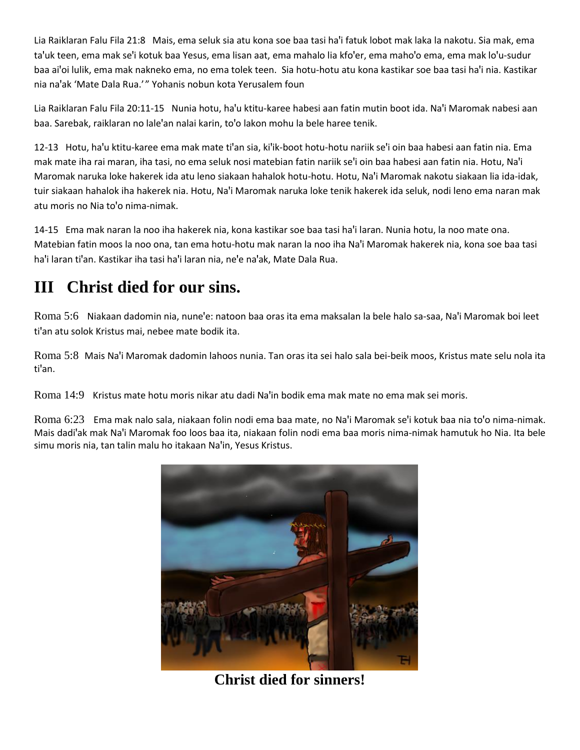Lia Raiklaran Falu Fila 21:8 Mais, ema seluk sia atu kona soe baa tasi ha'i fatuk lobot mak laka la nakotu. Sia mak, ema ta'uk teen, ema mak se'i kotuk baa Yesus, ema lisan aat, ema mahalo lia kfo'er, ema maho'o ema, ema mak lo'u-sudur baa ai'oi lulik, ema mak nakneko ema, no ema tolek teen. Sia hotu-hotu atu kona kastikar soe baa tasi ha'i nia. Kastikar nia naꞌak 'Mate Dala Rua.' " Yohanis nobun kota Yerusalem foun

Lia Raiklaran Falu Fila 20:11-15 Nunia hotu, ha'u ktitu-karee habesi aan fatin mutin boot ida. Na'i Maromak nabesi aan baa. Sarebak, raiklaran no lale'an nalai karin, to'o lakon mohu la bele haree tenik.

12-13 Hotu, ha'u ktitu-karee ema mak mate ti'an sia, ki'ik-boot hotu-hotu nariik se'i oin baa habesi aan fatin nia. Ema mak mate iha rai maran, iha tasi, no ema seluk nosi matebian fatin nariik se'i oin baa habesi aan fatin nia. Hotu, Na'i Maromak naruka loke hakerek ida atu leno siakaan hahalok hotu-hotu. Hotu, Na'i Maromak nakotu siakaan lia ida-idak, tuir siakaan hahalok iha hakerek nia. Hotu, Na'i Maromak naruka loke tenik hakerek ida seluk, nodi leno ema naran mak atu moris no Nia to'o nima-nimak.

14-15 Ema mak naran la noo iha hakerek nia, kona kastikar soe baa tasi ha'i laran. Nunia hotu, la noo mate ona. Matebian fatin moos la noo ona, tan ema hotu-hotu mak naran la noo iha Na'i Maromak hakerek nia, kona soe baa tasi ha'i laran ti'an. Kastikar iha tasi ha'i laran nia, ne'e na'ak, Mate Dala Rua.

# **III Christ died for our sins.**

Roma 5:6 Niakaan dadomin nia, nune'e: natoon baa oras ita ema maksalan la bele halo sa-saa, Na'i Maromak boi leet ti'an atu solok Kristus mai, nebee mate bodik ita.

Roma 5:8 Mais Naꞌi Maromak dadomin lahoos nunia. Tan oras ita sei halo sala bei-beik moos, Kristus mate selu nola ita ti'an.

Roma 14:9 Kristus mate hotu moris nikar atu dadi Na'in bodik ema mak mate no ema mak sei moris.

Roma 6:23 Ema mak nalo sala, niakaan folin nodi ema baa mate, no Na'i Maromak se'i kotuk baa nia to'o nima-nimak. Mais dadi'ak mak Na'i Maromak foo loos baa ita, niakaan folin nodi ema baa moris nima-nimak hamutuk ho Nia. Ita bele simu moris nia, tan talin malu ho itakaan Na'in, Yesus Kristus.



**Christ died for sinners!**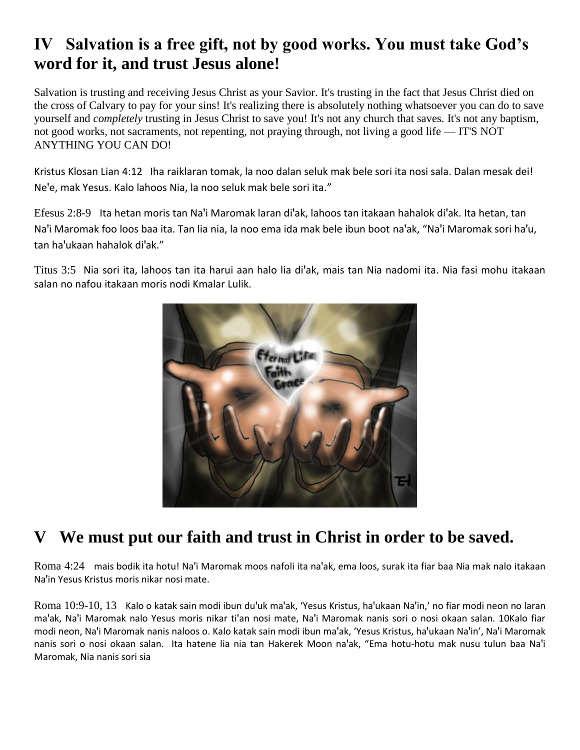## **IV Salvation is a free gift, not by good works. You must take God's word for it, and trust Jesus alone!**

Salvation is trusting and receiving Jesus Christ as your Savior. It's trusting in the fact that Jesus Christ died on the cross of Calvary to pay for your sins! It's realizing there is absolutely nothing whatsoever you can do to save yourself and *completely* trusting in Jesus Christ to save you! It's not any church that saves. It's not any baptism, not good works, not sacraments, not repenting, not praying through, not living a good life — IT'S NOT ANYTHING YOU CAN DO!

Kristus Klosan Lian 4:12 Iha raiklaran tomak, la noo dalan seluk mak bele sori ita nosi sala. Dalan mesak dei! Ne'e, mak Yesus. Kalo lahoos Nia, la noo seluk mak bele sori ita."

Efesus 2:8-9 Ita hetan moris tan Na'i Maromak laran di'ak, lahoos tan itakaan hahalok di'ak. Ita hetan, tan Na'i Maromak foo loos baa ita. Tan lia nia, la noo ema ida mak bele ibun boot na'ak, "Na'i Maromak sori ha'u, tan ha'ukaan hahalok di'ak."

Titus 3:5 Nia sori ita, lahoos tan ita harui aan halo lia di'ak, mais tan Nia nadomi ita. Nia fasi mohu itakaan salan no nafou itakaan moris nodi Kmalar Lulik.



## **V We must put our faith and trust in Christ in order to be saved.**

Roma 4:24 mais bodik ita hotu! Na'i Maromak moos nafoli ita na'ak, ema loos, surak ita fiar baa Nia mak nalo itakaan Na'in Yesus Kristus moris nikar nosi mate.

Roma 10:9-10, 13 Kalo o katak sain modi ibun du'uk ma'ak, 'Yesus Kristus, ha'ukaan Na'in,' no fiar modi neon no laran ma'ak, Na'i Maromak nalo Yesus moris nikar ti'an nosi mate, Na'i Maromak nanis sori o nosi okaan salan. 10Kalo fiar modi neon, Na'i Maromak nanis naloos o. Kalo katak sain modi ibun ma'ak, 'Yesus Kristus, ha'ukaan Na'in', Na'i Maromak nanis sori o nosi okaan salan. Ita hatene lia nia tan Hakerek Moon na'ak, "Ema hotu-hotu mak nusu tulun baa Na'i Maromak, Nia nanis sori sia